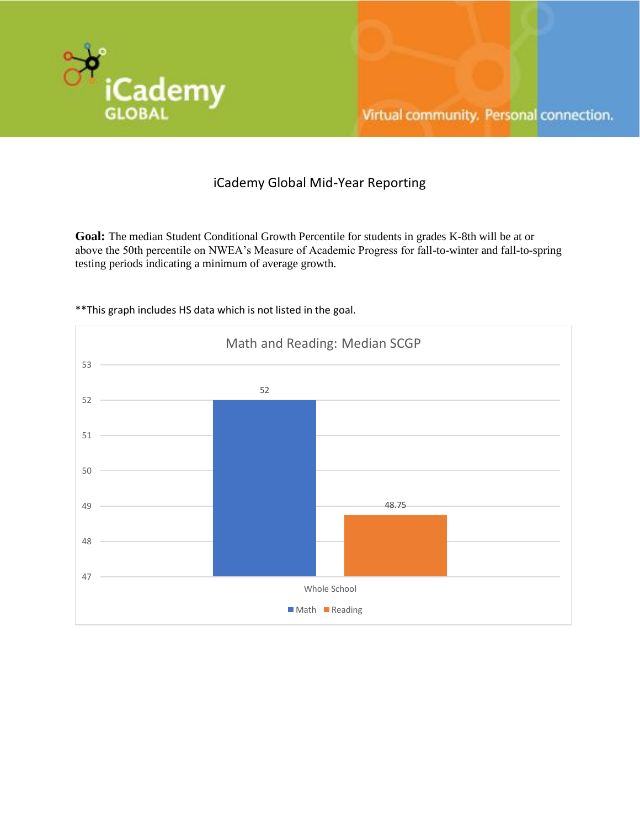

# iCademy Global Mid-Year Reporting

**Goal:** The median Student Conditional Growth Percentile for students in grades K-8th will be at or above the 50th percentile on NWEA's Measure of Academic Progress for fall-to-winter and fall-to-spring testing periods indicating a minimum of average growth.



\*\*This graph includes HS data which is not listed in the goal.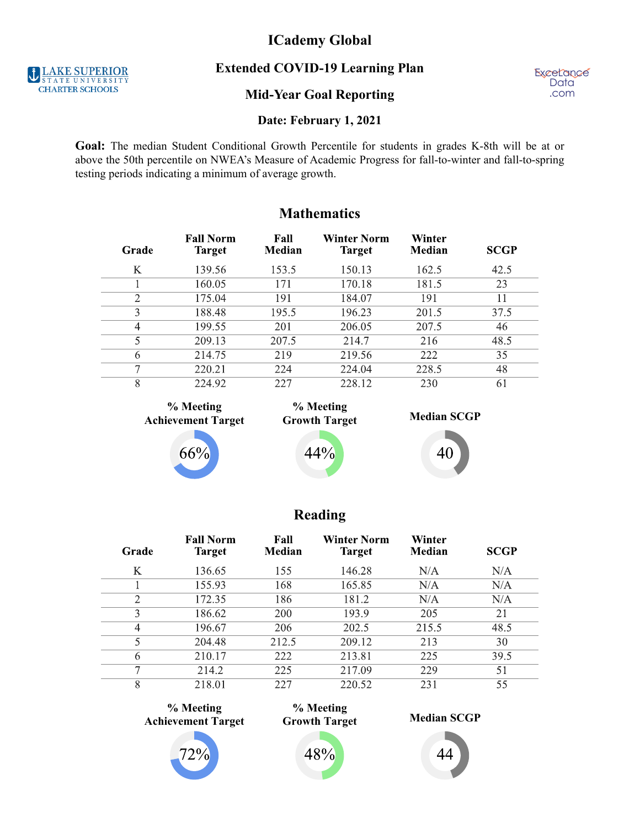# **ICademy Global**

**Extended COVID-19 Learning Plan**

**Mid-Year Goal Reporting**

**ExceLance Data** .com

## **Date: February 1, 2021**

Goal: The median Student Conditional Growth Percentile for students in grades K-8th will be at or above the 50th percentile on NWEA's Measure of Academic Progress for fall-to-winter and fall-to-spring testing periods indicating a minimum of average growth.

**Mathematics**

| Grade          | <b>Fall Norm</b><br><b>Target</b> | Fall<br>Median | <b>Winter Norm</b><br><b>Target</b> | Winter<br>Median | <b>SCGP</b> |
|----------------|-----------------------------------|----------------|-------------------------------------|------------------|-------------|
| K              | 139.56                            | 153.5          | 150.13                              | 162.5            | 42.5        |
|                | 160.05                            | 171            | 170.18                              | 181.5            | 23          |
| $\overline{2}$ | 175.04                            | 191            | 184.07                              | 191              | 11          |
| 3              | 188.48                            | 195.5          | 196.23                              | 201.5            | 37.5        |
| 4              | 199.55                            | 201            | 206.05                              | 207.5            | 46          |
| 5              | 209.13                            | 207.5          | 214.7                               | 216              | 48.5        |
| 6              | 214.75                            | 219            | 219.56                              | 222              | 35          |
| 7              | 220.21                            | 224            | 224.04                              | 228.5            | 48          |
| 8              | 224.92                            | 227            | 228.12                              | 230              | 61          |

**% Meeting Achievement Target**





44%



# **Reading**

| Grade | <b>Fall Norm</b><br><b>Target</b> | Fall<br>Median | <b>Winter Norm</b><br><b>Target</b> | Winter<br>Median | <b>SCGP</b> |
|-------|-----------------------------------|----------------|-------------------------------------|------------------|-------------|
| K     | 136.65                            | 155            | 146.28                              | N/A              | N/A         |
|       | 155.93                            | 168            | 165.85                              | N/A              | N/A         |
| 2     | 172.35                            | 186            | 181.2                               | N/A              | N/A         |
| 3     | 186.62                            | 200            | 193.9                               | 205              | 21          |
| 4     | 196.67                            | 206            | 202.5                               | 215.5            | 48.5        |
| 5     | 204.48                            | 212.5          | 209.12                              | 213              | 30          |
| 6     | 210.17                            | 222            | 213.81                              | 225              | 39.5        |
| 7     | 214.2                             | 225            | 217.09                              | 229              | 51          |
| 8     | 218.01                            | 227            | 220.52                              | 231              | 55          |

**% Meeting Achievement Target**





48



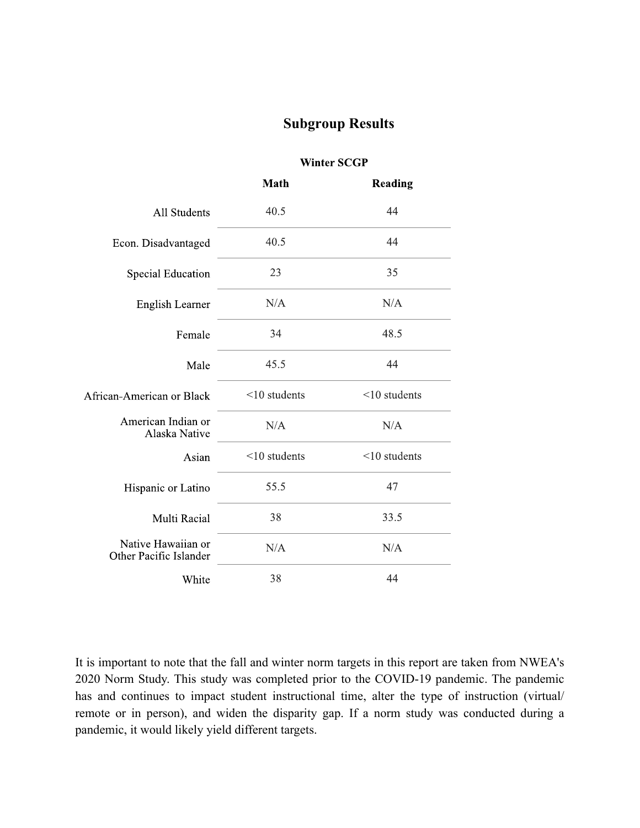# **Subgroup Results**

|                                              | <b>Math</b>     | Reading         |
|----------------------------------------------|-----------------|-----------------|
| All Students                                 | 40.5            | 44              |
| Econ. Disadvantaged                          | 40.5            | 44              |
| <b>Special Education</b>                     | 23              | 35              |
| English Learner                              | N/A             | N/A             |
| Female                                       | 34              | 48.5            |
| Male                                         | 45.5            | 44              |
| African-American or Black                    | $<$ 10 students | $<$ 10 students |
| American Indian or<br>Alaska Native          | N/A             | N/A             |
| Asian                                        | $<$ 10 students | $<$ 10 students |
| Hispanic or Latino                           | 55.5            | 47              |
| Multi Racial                                 | 38              | 33.5            |
| Native Hawaiian or<br>Other Pacific Islander | N/A             | N/A             |
| White                                        | 38              | 44              |

**Winter SCGP** 

It is important to note that the fall and winter norm targets in this report are taken from NWEA's 2020 Norm Study. This study was completed prior to the COVID-19 pandemic. The pandemic has and continues to impact student instructional time, alter the type of instruction (virtual/ remote or in person), and widen the disparity gap. If a norm study was conducted during a pandemic, it would likely yield different targets.